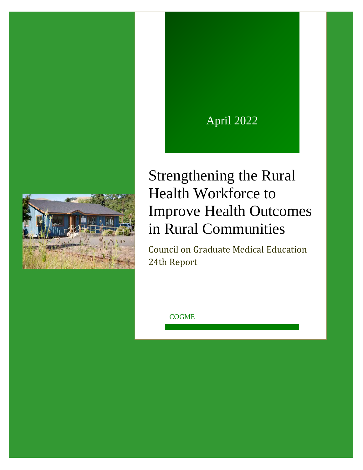## April 2022

# Strengthening the Rural Health Workforce to Improve Health Outcomes in Rural Communities

Council on Graduate Medical Education 24th Report

**COGME**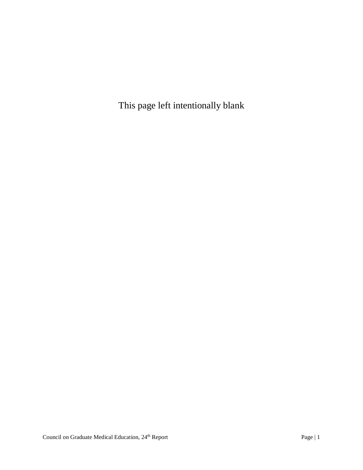This page left intentionally blank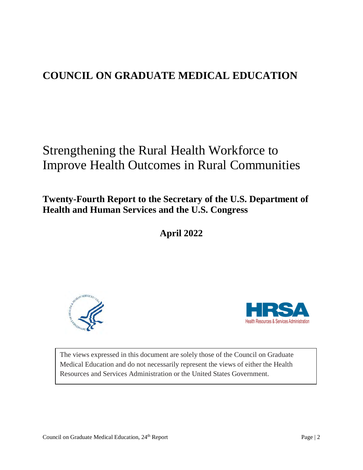## **COUNCIL ON GRADUATE MEDICAL EDUCATION**

## Strengthening the Rural Health Workforce to Improve Health Outcomes in Rural Communities

**Twenty-Fourth Report to the Secretary of the U.S. Department of Health and Human Services and the U.S. Congress**

**April 2022**





The views expressed in this document are solely those of the Council on Graduate Medical Education and do not necessarily represent the views of either the Health Resources and Services Administration or the United States Government.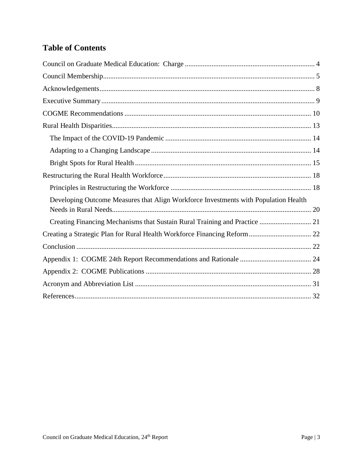### **Table of Contents**

| Developing Outcome Measures that Align Workforce Investments with Population Health |
|-------------------------------------------------------------------------------------|
|                                                                                     |
|                                                                                     |
|                                                                                     |
|                                                                                     |
|                                                                                     |
|                                                                                     |
|                                                                                     |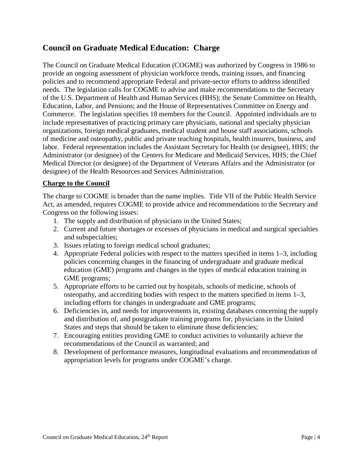### **Council on Graduate Medical Education: Charge**

The Council on Graduate Medical Education (COGME) was authorized by Congress in 1986 to provide an ongoing assessment of physician workforce trends, training issues, and financing policies and to recommend appropriate Federal and private-sector efforts to address identified needs. The legislation calls for COGME to advise and make recommendations to the Secretary of the U.S. Department of Health and Human Services (HHS); the Senate Committee on Health, Education, Labor, and Pensions; and the House of Representatives Committee on Energy and Commerce. The legislation specifies 18 members for the Council. Appointed individuals are to include representatives of practicing primary care physicians, national and specialty physician organizations, foreign medical graduates, medical student and house staff associations, schools of medicine and osteopathy, public and private teaching hospitals, health insurers, business, and labor. Federal representation includes the Assistant Secretary for Health (or designee), HHS; the Administrator (or designee) of the Centers for Medicare and Medicaid Services, HHS; the Chief Medical Director (or designee) of the Department of Veterans Affairs and the Administrator (or designee) of the Health Resources and Services Administration.

### **Charge to the Council**

The charge to COGME is broader than the name implies. Title VII of the Public Health Service Act, as amended, requires COGME to provide advice and recommendations to the Secretary and Congress on the following issues:

- 1. The supply and distribution of physicians in the United States;
- 2. Current and future shortages or excesses of physicians in medical and surgical specialties and subspecialties;
- 3. Issues relating to foreign medical school graduates;
- 4. Appropriate Federal policies with respect to the matters specified in items 1–3, including policies concerning changes in the financing of undergraduate and graduate medical education (GME) programs and changes in the types of medical education training in GME programs;
- 5. Appropriate efforts to be carried out by hospitals, schools of medicine, schools of osteopathy, and accrediting bodies with respect to the matters specified in items 1–3, including efforts for changes in undergraduate and GME programs;
- 6. Deficiencies in, and needs for improvements in, existing databases concerning the supply and distribution of, and postgraduate training programs for, physicians in the United States and steps that should be taken to eliminate those deficiencies;
- 7. Encouraging entities providing GME to conduct activities to voluntarily achieve the recommendations of the Council as warranted; and
- 8. Development of performance measures, longitudinal evaluations and recommendation of appropriation levels for programs under COGME's charge.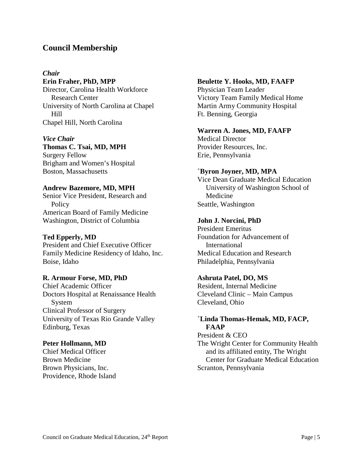### **Council Membership**

#### *Chair*

### **Erin Fraher, PhD, MPP**

Director, Carolina Health Workforce Research Center University of North Carolina at Chapel Hill Chapel Hill, North Carolina

#### *Vice Chair*

### **Thomas C. Tsai, MD, MPH**

Surgery Fellow Brigham and Women's Hospital Boston, Massachusetts

#### **Andrew Bazemore, MD, MPH**

Senior Vice President, Research and **Policy** American Board of Family Medicine Washington, District of Columbia

#### **Ted Epperly, MD**

President and Chief Executive Officer Family Medicine Residency of Idaho, Inc. Boise, Idaho

#### **R. Armour Forse, MD, PhD**

Chief Academic Officer Doctors Hospital at Renaissance Health System Clinical Professor of Surgery University of Texas Rio Grande Valley Edinburg, Texas

#### **Peter Hollmann, MD**

Chief Medical Officer Brown Medicine Brown Physicians, Inc. Providence, Rhode Island

#### **Beulette Y. Hooks, MD, FAAFP**

Physician Team Leader Victory Team Family Medical Home Martin Army Community Hospital Ft. Benning, Georgia

#### **Warren A. Jones, MD, FAAFP**

Medical Director Provider Resources, Inc. Erie, Pennsylvania

#### <sup>+</sup>**Byron Joyner, MD, MPA**

Vice Dean Graduate Medical Education University of Washington School of Medicine Seattle, Washington

#### **John J. Norcini, PhD**

President Emeritus Foundation for Advancement of International Medical Education and Research Philadelphia, Pennsylvania

#### **Ashruta Patel, DO, MS**

Resident, Internal Medicine Cleveland Clinic – Main Campus Cleveland, Ohio

#### <sup>+</sup>**Linda Thomas-Hemak, MD, FACP, FAAP**

President & CEO The Wright Center for Community Health and its affiliated entity, The Wright Center for Graduate Medical Education Scranton, Pennsylvania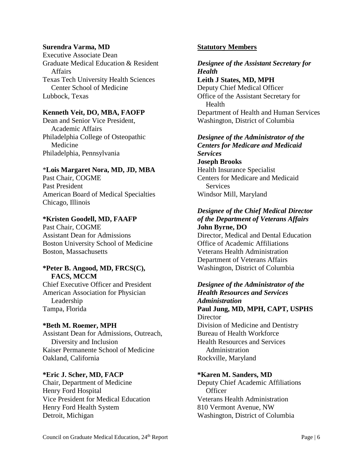#### **Surendra Varma, MD**

Executive Associate Dean Graduate Medical Education & Resident Affairs Texas Tech University Health Sciences Center School of Medicine Lubbock, Texas

#### **Kenneth Veit, DO, MBA, FAOFP**

Dean and Senior Vice President, Academic Affairs Philadelphia College of Osteopathic Medicine Philadelphia, Pennsylvania

#### \***Lois Margaret Nora, MD, JD, MBA**

Past Chair, COGME Past President American Board of Medical Specialties Chicago, Illinois

#### **\*Kristen Goodell, MD, FAAFP**

Past Chair, COGME Assistant Dean for Admissions Boston University School of Medicine Boston, Massachusetts

#### **\*Peter B. Angood, MD, FRCS(C), FACS, MCCM**

Chief Executive Officer and President American Association for Physician Leadership Tampa, Florida

#### **\*Beth M. Roemer, MPH**

Assistant Dean for Admissions, Outreach, Diversity and Inclusion Kaiser Permanente School of Medicine Oakland, California

**\*Eric J. Scher, MD, FACP** Chair, Department of Medicine Henry Ford Hospital Vice President for Medical Education Henry Ford Health System Detroit, Michigan

#### **Statutory Members**

*Designee of the Assistant Secretary for Health* **Leith J States, MD, MPH**  Deputy Chief Medical Officer Office of the Assistant Secretary for Health Department of Health and Human Services Washington, District of Columbia

#### *Designee of the Administrator of the Centers for Medicare and Medicaid Services*

**Joseph Brooks** Health Insurance Specialist Centers for Medicare and Medicaid **Services** Windsor Mill, Maryland

### *Designee of the Chief Medical Director of the Department of Veterans Affairs*  **John Byrne, DO**

Director, Medical and Dental Education Office of Academic Affiliations Veterans Health Administration Department of Veterans Affairs Washington, District of Columbia

#### *Designee of the Administrator of the Health Resources and Services Administration* **Paul Jung, MD, MPH, CAPT, USPHS**  Director Division of Medicine and Dentistry Bureau of Health Workforce Health Resources and Services Administration

Rockville, Maryland

#### **\*Karen M. Sanders, MD**

Deputy Chief Academic Affiliations **Officer** Veterans Health Administration 810 Vermont Avenue, NW Washington, District of Columbia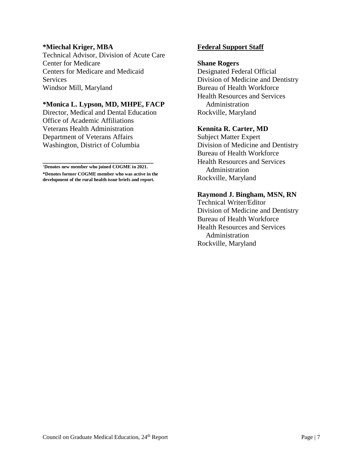#### **\*Miechal Kriger, MBA**

Technical Advisor, Division of Acute Care Center for Medicare Centers for Medicare and Medicaid **Services** Windsor Mill, Maryland

#### **\*Monica L. Lypson, MD, MHPE, FACP**

Director, Medical and Dental Education Office of Academic Affiliations Veterans Health Administration Department of Veterans Affairs Washington, District of Columbia

**\_\_\_\_\_\_\_\_\_\_\_\_\_\_\_\_\_\_\_\_\_\_\_\_\_\_\_\_\_\_\_\_\_\_ +Denotes new member who joined COGME in 2021. \*Denotes former COGME member who was active in the development of the rural health issue briefs and report.**

### **Federal Support Staff**

#### **Shane Rogers**

Designated Federal Official Division of Medicine and Dentistry Bureau of Health Workforce Health Resources and Services Administration Rockville, Maryland

#### **Kennita R. Carter, MD**

Subject Matter Expert Division of Medicine and Dentistry Bureau of Health Workforce Health Resources and Services Administration Rockville, Maryland

#### **Raymond J. Bingham, MSN, RN**

Technical Writer/Editor Division of Medicine and Dentistry Bureau of Health Workforce Health Resources and Services Administration Rockville, Maryland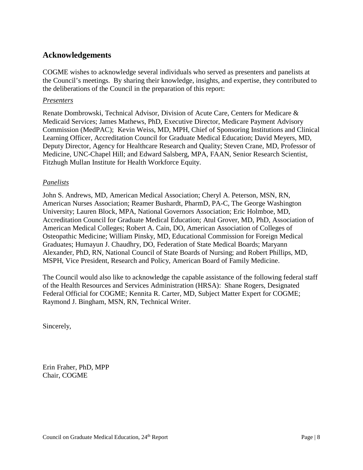### **Acknowledgements**

COGME wishes to acknowledge several individuals who served as presenters and panelists at the Council's meetings. By sharing their knowledge, insights, and expertise, they contributed to the deliberations of the Council in the preparation of this report:

#### *Presenters*

Renate Dombrowski, Technical Advisor, Division of Acute Care, Centers for Medicare & Medicaid Services; James Mathews, PhD, Executive Director, Medicare Payment Advisory Commission (MedPAC); Kevin Weiss, MD, MPH, Chief of Sponsoring Institutions and Clinical Learning Officer, Accreditation Council for Graduate Medical Education; David Meyers, MD, Deputy Director, Agency for Healthcare Research and Quality; Steven Crane, MD, Professor of Medicine, UNC-Chapel Hill; and Edward Salsberg, MPA, FAAN, Senior Research Scientist, Fitzhugh Mullan Institute for Health Workforce Equity.

### *Panelists*

John S. Andrews, MD, American Medical Association; Cheryl A. Peterson, MSN, RN, American Nurses Association; Reamer Bushardt, PharmD, PA-C, The George Washington University; Lauren Block, MPA, National Governors Association; Eric Holmboe, MD, Accreditation Council for Graduate Medical Education; Atul Grover, MD, PhD, Association of American Medical Colleges; Robert A. Cain, DO, American Association of Colleges of Osteopathic Medicine; William Pinsky, MD, Educational Commission for Foreign Medical Graduates; Humayun J. Chaudhry, DO, Federation of State Medical Boards; Maryann Alexander, PhD, RN, National Council of State Boards of Nursing; and Robert Phillips, MD, MSPH, Vice President, Research and Policy, American Board of Family Medicine.

The Council would also like to acknowledge the capable assistance of the following federal staff of the Health Resources and Services Administration (HRSA): Shane Rogers, Designated Federal Official for COGME; Kennita R. Carter, MD, Subject Matter Expert for COGME; Raymond J. Bingham, MSN, RN, Technical Writer.

Sincerely,

Erin Fraher, PhD, MPP Chair, COGME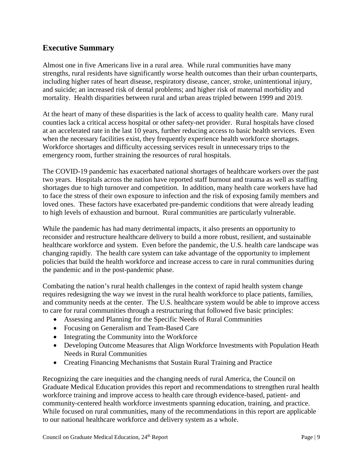### **Executive Summary**

Almost one in five Americans live in a rural area. While rural communities have many strengths, rural residents have significantly worse health outcomes than their urban counterparts, including higher rates of heart disease, respiratory disease, cancer, stroke, unintentional injury, and suicide; an increased risk of dental problems; and higher risk of maternal morbidity and mortality. Health disparities between rural and urban areas tripled between 1999 and 2019.

At the heart of many of these disparities is the lack of access to quality health care. Many rural counties lack a critical access hospital or other safety-net provider. Rural hospitals have closed at an accelerated rate in the last 10 years, further reducing access to basic health services. Even when the necessary facilities exist, they frequently experience health workforce shortages. Workforce shortages and difficulty accessing services result in unnecessary trips to the emergency room, further straining the resources of rural hospitals.

The COVID-19 pandemic has exacerbated national shortages of healthcare workers over the past two years. Hospitals across the nation have reported staff burnout and trauma as well as staffing shortages due to high turnover and competition. In addition, many health care workers have had to face the stress of their own exposure to infection and the risk of exposing family members and loved ones. These factors have exacerbated pre-pandemic conditions that were already leading to high levels of exhaustion and burnout. Rural communities are particularly vulnerable.

While the pandemic has had many detrimental impacts, it also presents an opportunity to reconsider and restructure healthcare delivery to build a more robust, resilient, and sustainable healthcare workforce and system. Even before the pandemic, the U.S. health care landscape was changing rapidly. The health care system can take advantage of the opportunity to implement policies that build the health workforce and increase access to care in rural communities during the pandemic and in the post-pandemic phase.

Combating the nation's rural health challenges in the context of rapid health system change requires redesigning the way we invest in the rural health workforce to place patients, families, and community needs at the center. The U.S. healthcare system would be able to improve access to care for rural communities through a restructuring that followed five basic principles:

- Assessing and Planning for the Specific Needs of Rural Communities
- Focusing on Generalism and Team-Based Care
- Integrating the Community into the Workforce
- Developing Outcome Measures that Align Workforce Investments with Population Heath Needs in Rural Communities
- Creating Financing Mechanisms that Sustain Rural Training and Practice

Recognizing the care inequities and the changing needs of rural America, the Council on Graduate Medical Education provides this report and recommendations to strengthen rural health workforce training and improve access to health care through evidence-based, patient- and community-centered health workforce investments spanning education, training, and practice. While focused on rural communities, many of the recommendations in this report are applicable to our national healthcare workforce and delivery system as a whole.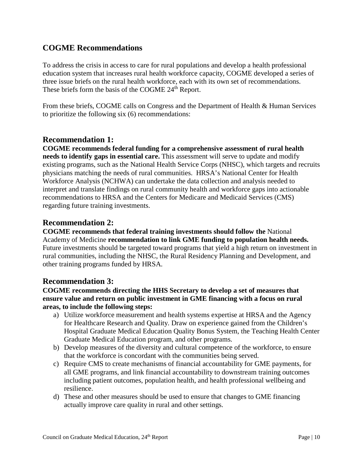### **COGME Recommendations**

To address the crisis in access to care for rural populations and develop a health professional education system that increases rural health workforce capacity, COGME developed a series of three issue briefs on the rural health workforce, each with its own set of recommendations. These briefs form the basis of the COGME 24<sup>th</sup> Report.

From these briefs, COGME calls on Congress and the Department of Health & Human Services to prioritize the following six (6) recommendations:

### **Recommendation 1:**

**COGME recommends federal funding for a comprehensive assessment of rural health needs to identify gaps in essential care.** This assessment will serve to update and modify existing programs, such as the National Health Service Corps (NHSC), which targets and recruits physicians matching the needs of rural communities. HRSA's National Center for Health Workforce Analysis (NCHWA) can undertake the data collection and analysis needed to interpret and translate findings on rural community health and workforce gaps into actionable recommendations to HRSA and the Centers for Medicare and Medicaid Services (CMS) regarding future training investments.

### **Recommendation 2:**

**COGME recommends that federal training investments should follow the** National Academy of Medicine **recommendation to link GME funding to population health needs.** Future investments should be targeted toward programs that yield a high return on investment in rural communities, including the NHSC, the Rural Residency Planning and Development, and other training programs funded by HRSA.

### **Recommendation 3:**

### **COGME recommends directing the HHS Secretary to develop a set of measures that ensure value and return on public investment in GME financing with a focus on rural areas, to include the following steps:**

- a) Utilize workforce measurement and health systems expertise at HRSA and the Agency for Healthcare Research and Quality. Draw on experience gained from the Children's Hospital Graduate Medical Education Quality Bonus System, the Teaching Health Center Graduate Medical Education program, and other programs.
- b) Develop measures of the diversity and cultural competence of the workforce, to ensure that the workforce is concordant with the communities being served.
- c) Require CMS to create mechanisms of financial accountability for GME payments, for all GME programs, and link financial accountability to downstream training outcomes including patient outcomes, population health, and health professional wellbeing and resilience.
- d) These and other measures should be used to ensure that changes to GME financing actually improve care quality in rural and other settings.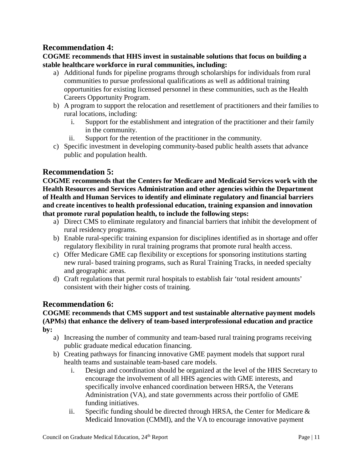### **Recommendation 4:**

**COGME recommends that HHS invest in sustainable solutions that focus on building a stable healthcare workforce in rural communities, including:**

- a) Additional funds for pipeline programs through scholarships for individuals from rural communities to pursue professional qualifications as well as additional training opportunities for existing licensed personnel in these communities, such as the Health Careers Opportunity Program.
- b) A program to support the relocation and resettlement of practitioners and their families to rural locations, including:
	- i. Support for the establishment and integration of the practitioner and their family in the community.
	- ii. Support for the retention of the practitioner in the community.
- c) Specific investment in developing community-based public health assets that advance public and population health.

### **Recommendation 5:**

**COGME recommends that the Centers for Medicare and Medicaid Services work with the Health Resources and Services Administration and other agencies within the Department of Health and Human Services to identify and eliminate regulatory and financial barriers and create incentives to health professional education, training expansion and innovation that promote rural population health, to include the following steps:**

- a) Direct CMS to eliminate regulatory and financial barriers that inhibit the development of rural residency programs.
- b) Enable rural-specific training expansion for disciplines identified as in shortage and offer regulatory flexibility in rural training programs that promote rural health access.
- c) Offer Medicare GME cap flexibility or exceptions for sponsoring institutions starting new rural- based training programs, such as Rural Training Tracks, in needed specialty and geographic areas.
- d) Craft regulations that permit rural hospitals to establish fair 'total resident amounts' consistent with their higher costs of training.

### **Recommendation 6:**

### **COGME recommends that CMS support and test sustainable alternative payment models (APMs) that enhance the delivery of team-based interprofessional education and practice by:**

- a) Increasing the number of community and team-based rural training programs receiving public graduate medical education financing.
- b) Creating pathways for financing innovative GME payment models that support rural health teams and sustainable team-based care models.
	- i. Design and coordination should be organized at the level of the HHS Secretary to encourage the involvement of all HHS agencies with GME interests, and specifically involve enhanced coordination between HRSA, the Veterans Administration (VA), and state governments across their portfolio of GME funding initiatives.
	- ii. Specific funding should be directed through HRSA, the Center for Medicare  $\&$ Medicaid Innovation (CMMI), and the VA to encourage innovative payment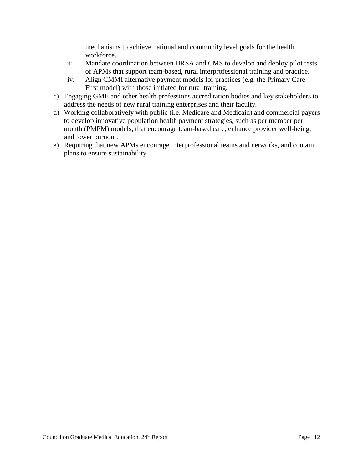mechanisms to achieve national and community level goals for the health workforce.

- iii. Mandate coordination between HRSA and CMS to develop and deploy pilot tests of APMs that support team-based, rural interprofessional training and practice.
- iv. Align CMMI alternative payment models for practices (e.g. the Primary Care First model) with those initiated for rural training.
- c) Engaging GME and other health professions accreditation bodies and key stakeholders to address the needs of new rural training enterprises and their faculty.
- d) Working collaboratively with public (i.e. Medicare and Medicaid) and commercial payers to develop innovative population health payment strategies, such as per member per month (PMPM) models, that encourage team-based care, enhance provider well-being, and lower burnout.
- e) Requiring that new APMs encourage interprofessional teams and networks, and contain plans to ensure sustainability.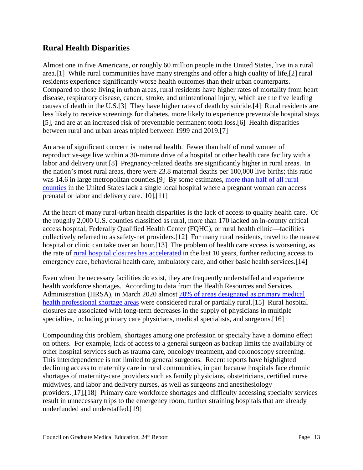### **Rural Health Disparities**

Almost one in five Americans, or roughly 60 million people in the United States, live in a rural area.[1] While rural communities have many strengths and offer a high quality of life,[2] rural residents experience significantly worse health outcomes than their urban counterparts. Compared to those living in urban areas, rural residents have higher rates of mortality from heart disease, respiratory disease, cancer, stroke, and unintentional injury, which are the five leading causes of death in the U.S.[3] They have higher rates of death by suicide.[4] Rural residents are less likely to receive screenings for diabetes, more likely to experience preventable hospital stays [5], and are at an increased risk of preventable permanent tooth loss.[6] Health disparities between rural and urban areas tripled between 1999 and 2019.[7]

An area of significant concern is maternal health. Fewer than half of rural women of reproductive-age live within a 30-minute drive of a hospital or other health care facility with a labor and delivery unit.[8] Pregnancy-related deaths are significantly higher in rural areas. In the nation's most rural areas, there were 23.8 maternal deaths per 100,000 live births; this ratio was 14.6 in large metropolitan counties.[9] By some estimates, [more than half of all rural](https://carolinapublicpress.org/27485/mountain-maternity-wards-closing/)  [counties](https://carolinapublicpress.org/27485/mountain-maternity-wards-closing/) in the United States lack a single local hospital where a pregnant woman can access prenatal or labor and delivery care.[10],[11]

At the heart of many rural-urban health disparities is the lack of access to quality health care. Of the roughly 2,000 U.S. counties classified as rural, more than 170 lacked an in-county critical access hospital, Federally Qualified Health Center (FQHC), or rural health clinic—facilities collectively referred to as safety-net providers.[12] For many rural residents, travel to the nearest hospital or clinic can take over an hour.<sup>[13]</sup> The problem of health care access is worsening, as the rate of [rural hospital closures has accelerated](https://www.americanprogress.org/issues/healthcare/reports/2019/09/09/474001/rural-hospital-closures-reduce-access-emergency-care/) in the last 10 years, further reducing access to emergency care, behavioral health care, ambulatory care, and other basic health services.<sup>[14]</sup>

Even when the necessary facilities do exist, they are frequently understaffed and experience health workforce shortages. According to data from the Health Resources and Services Administration (HRSA), in March 2020 almost [70% of areas designated as primary medical](https://data.hrsa.gov/Default/GenerateHPSAQuarterlyReport)  [health professional shortage areas](https://data.hrsa.gov/Default/GenerateHPSAQuarterlyReport) were considered rural or partially rural.[15] Rural hospital closures are associated with long-term decreases in the supply of physicians in multiple specialties, including primary care physicians, medical specialists, and surgeons.[16]

Compounding this problem, shortages among one profession or specialty have a domino effect on others. For example, lack of access to a general surgeon as backup limits the availability of other hospital services such as trauma care, oncology treatment, and colonoscopy screening. This interdependence is not limited to general surgeons. Recent reports have highlighted declining access to maternity care in rural communities, in part because hospitals face chronic shortages of maternity-care providers such as family physicians, obstetricians, certified nurse midwives, and labor and delivery nurses, as well as surgeons and anesthesiology providers.[17],[18] Primary care workforce shortages and difficulty accessing specialty services result in unnecessary trips to the emergency room, further straining hospitals that are already underfunded and understaffed.[19]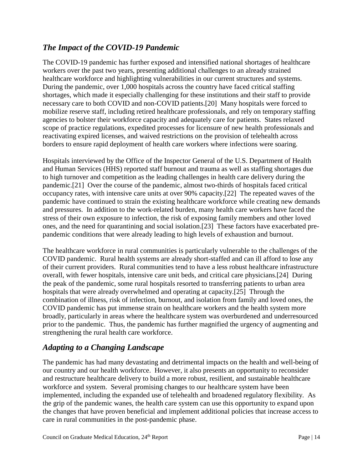### *The Impact of the COVID-19 Pandemic*

The COVID-19 pandemic has further exposed and intensified national shortages of healthcare workers over the past two years, presenting additional challenges to an already strained healthcare workforce and highlighting vulnerabilities in our current structures and systems. During the pandemic, over 1,000 hospitals across the country have faced critical staffing shortages, which made it especially challenging for these institutions and their staff to provide necessary care to both COVID and non-COVID patients.[20] Many hospitals were forced to mobilize reserve staff, including retired healthcare professionals, and rely on temporary staffing agencies to bolster their workforce capacity and adequately care for patients. States relaxed scope of practice regulations, expedited processes for licensure of new health professionals and reactivating expired licenses, and waived restrictions on the provision of telehealth across borders to ensure rapid deployment of health care workers where infections were soaring.

Hospitals interviewed by the Office of the Inspector General of the U.S. Department of Health and Human Services (HHS) reported staff burnout and trauma as well as staffing shortages due to high turnover and competition as the leading challenges in health care delivery during the pandemic.[21] Over the course of the pandemic, almost two-thirds of hospitals faced critical occupancy rates, with intensive care units at over 90% capacity.[22] The repeated waves of the pandemic have continued to strain the existing healthcare workforce while creating new demands and pressures. In addition to the work-related burden, many health care workers have faced the stress of their own exposure to infection, the risk of exposing family members and other loved ones, and the need for quarantining and social isolation.[23] These factors have exacerbated prepandemic conditions that were already leading to high levels of exhaustion and burnout.

The healthcare workforce in rural communities is particularly vulnerable to the challenges of the COVID pandemic. Rural health systems are already short-staffed and can ill afford to lose any of their current providers. Rural communities tend to have a less robust healthcare infrastructure overall, with fewer hospitals, intensive care unit beds, and critical care physicians.[24] During the peak of the pandemic, some rural hospitals resorted to transferring patients to urban area hospitals that were already overwhelmed and operating at capacity.[25] Through the combination of illness, risk of infection, burnout, and isolation from family and loved ones, the COVID pandemic has put immense strain on healthcare workers and the health system more broadly, particularly in areas where the healthcare system was overburdened and underresourced prior to the pandemic. Thus, the pandemic has further magnified the urgency of augmenting and strengthening the rural health care workforce.

### *Adapting to a Changing Landscape*

The pandemic has had many devastating and detrimental impacts on the health and well-being of our country and our health workforce. However, it also presents an opportunity to reconsider and restructure healthcare delivery to build a more robust, resilient, and sustainable healthcare workforce and system. Several promising changes to our healthcare system have been implemented, including the expanded use of telehealth and broadened regulatory flexibility. As the grip of the pandemic wanes, the health care system can use this opportunity to expand upon the changes that have proven beneficial and implement additional policies that increase access to care in rural communities in the post-pandemic phase.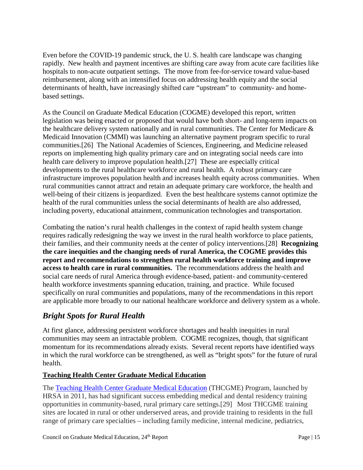Even before the COVID-19 pandemic struck, the U. S. health care landscape was changing rapidly. New health and payment incentives are shifting care away from acute care facilities like hospitals to non-acute outpatient settings. The move from fee-for-service toward value-based reimbursement, along with an intensified focus on addressing health equity and the social determinants of health, have increasingly shifted care "upstream" to community- and homebased settings.

As the Council on Graduate Medical Education (COGME) developed this report, written legislation was being enacted or proposed that would have both short- and long-term impacts on the healthcare delivery system nationally and in rural communities. The Center for Medicare & Medicaid Innovation (CMMI) was launching an alternative payment program specific to rural communities.[26] The National Academies of Sciences, Engineering, and Medicine released reports on implementing high quality primary care and on integrating social needs care into health care delivery to improve population health.[27] These are especially critical developments to the rural healthcare workforce and rural health. A robust primary care infrastructure improves population health and increases health equity across communities. When rural communities cannot attract and retain an adequate primary care workforce, the health and well-being of their citizens is jeopardized. Even the best healthcare systems cannot optimize the health of the rural communities unless the social determinants of health are also addressed, including poverty, educational attainment, communication technologies and transportation.

Combating the nation's rural health challenges in the context of rapid health system change requires radically redesigning the way we invest in the rural health workforce to place patients, their families, and their community needs at the center of policy interventions.[28] **Recognizing the care inequities and the changing needs of rural America, the COGME provides this report and recommendations to strengthen rural health workforce training and improve access to health care in rural communities.** The recommendations address the health and social care needs of rural America through evidence-based, patient- and community-centered health workforce investments spanning education, training, and practice. While focused specifically on rural communities and populations, many of the recommendations in this report are applicable more broadly to our national healthcare workforce and delivery system as a whole.

### *Bright Spots for Rural Health*

At first glance, addressing persistent workforce shortages and health inequities in rural communities may seem an intractable problem. COGME recognizes, though, that significant momentum for its recommendations already exists. Several recent reports have identified ways in which the rural workforce can be strengthened, as well as "bright spots" for the future of rural health.

### **Teaching Health Center Graduate Medical Education**

The [Teaching Health Center Graduate Medical Education](https://bhw.hrsa.gov/funding/apply-grant/teaching-health-center-graduate-medical-education) (THCGME) Program, launched by HRSA in 2011, has had significant success embedding medical and dental residency training opportunities in community-based, rural primary care settings.[29] Most THCGME training sites are located in rural or other underserved areas, and provide training to residents in the full range of primary care specialties – including family medicine, internal medicine, pediatrics,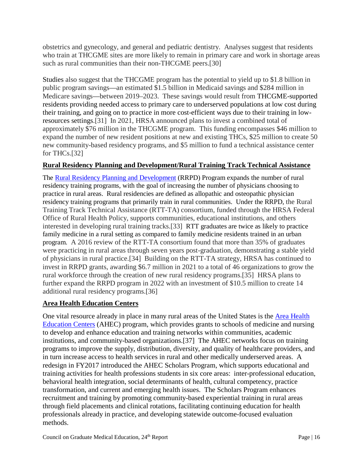obstetrics and gynecology, and general and pediatric dentistry. Analyses suggest that residents who train at THCGME sites are more likely to remain in primary care and work in shortage areas such as rural communities than their non-THCGME peers.[30]

Studies also suggest that the THCGME program has the potential to yield up to \$1.8 billion in public program savings—an estimated \$1.5 billion in Medicaid savings and \$284 million in Medicare savings—between 2019–2023. These savings would result from THCGME-supported residents providing needed access to primary care to underserved populations at low cost during their training, and going on to practice in more cost-efficient ways due to their training in lowresources settings.[31] In 2021, HRSA announced plans to invest a combined total of approximately \$76 million in the THCGME program. This funding encompasses \$46 million to expand the number of new resident positions at new and existing THCs, \$25 million to create 50 new community-based residency programs, and \$5 million to fund a technical assistance center for THCs.[32]

### **Rural Residency Planning and Development/Rural Training Track Technical Assistance**

The [Rural Residency Planning and Development](https://www.hrsa.gov/grants/find-funding/hrsa-20-107) (RRPD) Program expands the number of rural residency training programs, with the goal of increasing the number of physicians choosing to practice in rural areas. Rural residencies are defined as allopathic and osteopathic physician residency training programs that primarily train in rural communities. Under the RRPD, the Rural Training Track Technical Assistance (RTT-TA) consortium, funded through the HRSA Federal Office of Rural Health Policy, supports communities, educational institutions, and others interested in developing rural training tracks.[33] RTT graduates are twice as likely to practice family medicine in a rural setting as compared to family medicine residents trained in an urban program. A 2016 review of the RTT-TA consortium found that more than 35% of graduates were practicing in rural areas through seven years post-graduation, demonstrating a stable yield of physicians in rural practice.[34] Building on the RTT-TA strategy, HRSA has continued to invest in RRPD grants, awarding \$6.7 million in 2021 to a total of 46 organizations to grow the rural workforce through the creation of new rural residency programs.[35] HRSA plans to further expand the RRPD program in 2022 with an investment of \$10.5 million to create 14 additional rural residency programs.[36]

### **Area Health Education Centers**

One vital resource already in place in many rural areas of the United States is the [Area Health](https://bhw.hrsa.gov/sites/default/files/bureau-health-workforce/funding/ahec-outcomes-report-2014-2019.pdf)  [Education Centers](https://bhw.hrsa.gov/sites/default/files/bureau-health-workforce/funding/ahec-outcomes-report-2014-2019.pdf) (AHEC) program, which provides grants to schools of medicine and nursing to develop and enhance education and training networks within communities, academic institutions, and community-based organizations.[37] The AHEC networks focus on training programs to improve the supply, distribution, diversity, and quality of healthcare providers, and in turn increase access to health services in rural and other medically underserved areas. A redesign in FY2017 introduced the AHEC Scholars Program, which supports educational and training activities for health professions students in six core areas: inter-professional education, behavioral health integration, social determinants of health, cultural competency, practice transformation, and current and emerging health issues. The Scholars Program enhances recruitment and training by promoting community-based experiential training in rural areas through field placements and clinical rotations, facilitating continuing education for health professionals already in practice, and developing statewide outcome-focused evaluation methods.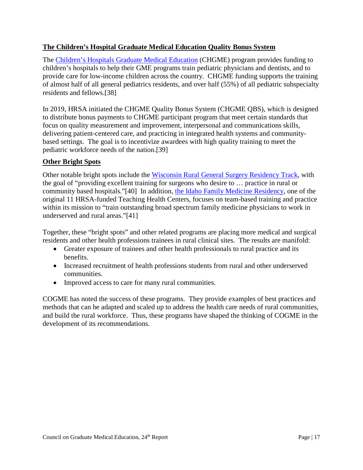### **The Children's Hospital Graduate Medical Education Quality Bonus System**

The [Children's Hospitals Graduate Medical Education](https://bhw.hrsa.gov/funding/apply-grant/childrens-hospitals-graduate-medical-education) (CHGME) program provides funding to children's hospitals to help their GME programs train pediatric physicians and dentists, and to provide care for low-income children across the country. CHGME funding supports the training of almost half of all general pediatrics residents, and over half (55%) of all pediatric subspecialty residents and fellows.[38]

In 2019, HRSA initiated the CHGME Quality Bonus System (CHGME QBS), which is designed to distribute bonus payments to CHGME participant program that meet certain standards that focus on quality measurement and improvement, interpersonal and communications skills, delivering patient-centered care, and practicing in integrated health systems and communitybased settings. The goal is to incentivize awardees with high quality training to meet the pediatric workforce needs of the nation.[39]

### **Other Bright Spots**

Other notable bright spots include the [Wisconsin Rural General Surgery Residency Track,](https://www.surgery.wisc.edu/education-training/residencies/general-surgery-residency/rural-general-surgery-residency-track/) with the goal of "providing excellent training for surgeons who desire to … practice in rural or community based hospitals."[40] In addition, [the Idaho Family Medicine Residency,](https://www.fmridaho.org/) one of the original 11 HRSA-funded Teaching Health Centers, focuses on team-based training and practice within its mission to "train outstanding broad spectrum family medicine physicians to work in underserved and rural areas."[41]

Together, these "bright spots" and other related programs are placing more medical and surgical residents and other health professions trainees in rural clinical sites. The results are manifold:

- Greater exposure of trainees and other health professionals to rural practice and its benefits.
- Increased recruitment of health professions students from rural and other underserved communities.
- Improved access to care for many rural communities.

COGME has noted the success of these programs. They provide examples of best practices and methods that can be adapted and scaled up to address the health care needs of rural communities, and build the rural workforce. Thus, these programs have shaped the thinking of COGME in the development of its recommendations.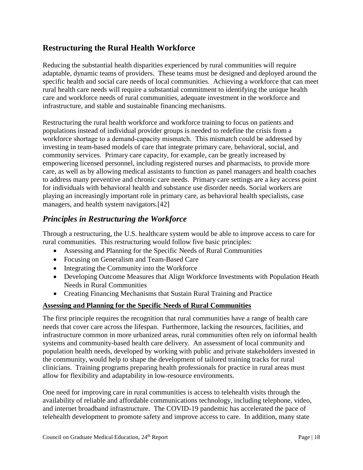### **Restructuring the Rural Health Workforce**

Reducing the substantial health disparities experienced by rural communities will require adaptable, dynamic teams of providers. These teams must be designed and deployed around the specific health and social care needs of local communities. Achieving a workforce that can meet rural health care needs will require a substantial commitment to identifying the unique health care and workforce needs of rural communities, adequate investment in the workforce and infrastructure, and stable and sustainable financing mechanisms.

Restructuring the rural health workforce and workforce training to focus on patients and populations instead of individual provider groups is needed to redefine the crisis from a workforce shortage to a demand-capacity mismatch. This mismatch could be addressed by investing in team-based models of care that integrate primary care, behavioral, social, and community services. Primary care capacity, for example, can be greatly increased by empowering licensed personnel, including registered nurses and pharmacists, to provide more care, as well as by allowing medical assistants to function as panel managers and health coaches to address many preventive and chronic care needs. Primary care settings are a key access point for individuals with behavioral health and substance use disorder needs. Social workers are playing an increasingly important role in primary care, as behavioral health specialists, case managers, and health system navigators.[42]

### *Principles in Restructuring the Workforce*

Through a restructuring, the U.S. healthcare system would be able to improve access to care for rural communities. This restructuring would follow five basic principles:

- Assessing and Planning for the Specific Needs of Rural Communities
- Focusing on Generalism and Team-Based Care
- Integrating the Community into the Workforce
- Developing Outcome Measures that Align Workforce Investments with Population Heath Needs in Rural Communities
- Creating Financing Mechanisms that Sustain Rural Training and Practice

### **Assessing and Planning for the Specific Needs of Rural Communities**

The first principle requires the recognition that rural communities have a range of health care needs that cover care across the lifespan. Furthermore, lacking the resources, facilities, and infrastructure common in more urbanized areas, rural communities often rely on informal health systems and community-based health care delivery. An assessment of local community and population health needs, developed by working with public and private stakeholders invested in the community, would help to shape the development of tailored training tracks for rural clinicians. Training programs preparing health professionals for practice in rural areas must allow for flexibility and adaptability in low-resource environments.

One need for improving care in rural communities is access to telehealth visits through the availability of reliable and affordable communications technology, including telephone, video, and internet broadband infrastructure. The COVID-19 pandemic has accelerated the pace of telehealth development to promote safety and improve access to care. In addition, many state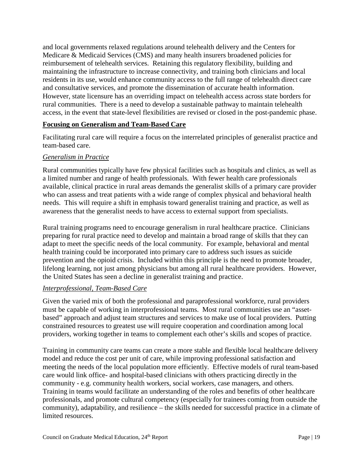and local governments relaxed regulations around telehealth delivery and the Centers for Medicare & Medicaid Services (CMS) and many health insurers broadened policies for reimbursement of telehealth services. Retaining this regulatory flexibility, building and maintaining the infrastructure to increase connectivity, and training both clinicians and local residents in its use, would enhance community access to the full range of telehealth direct care and consultative services, and promote the dissemination of accurate health information. However, state licensure has an overriding impact on telehealth access across state borders for rural communities. There is a need to develop a sustainable pathway to maintain telehealth access, in the event that state-level flexibilities are revised or closed in the post-pandemic phase.

#### **Focusing on Generalism and Team-Based Care**

Facilitating rural care will require a focus on the interrelated principles of generalist practice and team-based care.

### *Generalism in Practice*

Rural communities typically have few physical facilities such as hospitals and clinics, as well as a limited number and range of health professionals. With fewer health care professionals available, clinical practice in rural areas demands the generalist skills of a primary care provider who can assess and treat patients with a wide range of complex physical and behavioral health needs. This will require a shift in emphasis toward generalist training and practice, as well as awareness that the generalist needs to have access to external support from specialists.

Rural training programs need to encourage generalism in rural healthcare practice. Clinicians preparing for rural practice need to develop and maintain a broad range of skills that they can adapt to meet the specific needs of the local community. For example, behavioral and mental health training could be incorporated into primary care to address such issues as suicide prevention and the opioid crisis. Included within this principle is the need to promote broader, lifelong learning, not just among physicians but among all rural healthcare providers. However, the United States has seen a decline in generalist training and practice.

### *Interprofessional, Team-Based Care*

Given the varied mix of both the professional and paraprofessional workforce, rural providers must be capable of working in interprofessional teams. Most rural communities use an "assetbased" approach and adjust team structures and services to make use of local providers. Putting constrained resources to greatest use will require cooperation and coordination among local providers, working together in teams to complement each other's skills and scopes of practice.

Training in community care teams can create a more stable and flexible local healthcare delivery model and reduce the cost per unit of care, while improving professional satisfaction and meeting the needs of the local population more efficiently. Effective models of rural team-based care would link office- and hospital-based clinicians with others practicing directly in the community - e.g. community health workers, social workers, case managers, and others. Training in teams would facilitate an understanding of the roles and benefits of other healthcare professionals, and promote cultural competency (especially for trainees coming from outside the community), adaptability, and resilience – the skills needed for successful practice in a climate of limited resources.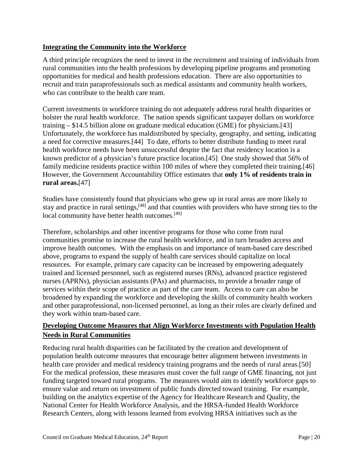### **Integrating the Community into the Workforce**

A third principle recognizes the need to invest in the recruitment and training of individuals from rural communities into the health professions by developing pipeline programs and promoting opportunities for medical and health professions education. There are also opportunities to recruit and train paraprofessionals such as medical assistants and community health workers, who can contribute to the health care team.

Current investments in workforce training do not adequately address rural health disparities or bolster the rural health workforce. The nation spends significant taxpayer dollars on workforce training – \$14.5 billion alone on graduate medical education (GME) for physicians.[43] Unfortunately, the workforce has maldistributed by specialty, geography, and setting, indicating a need for corrective measures.[44] To date, efforts to better distribute funding to meet rural health workforce needs have been unsuccessful despite the fact that residency location is a known predictor of a physician's future practice location.[45] One study showed that 56% of family medicine residents practice within 100 miles of where they completed their training.[46] However, the Government Accountability Office estimates that **only 1% of residents train in rural areas.**[47]

Studies have consistently found that physicians who grew up in rural areas are more likely to stay and practice in rural settings,[48] and that counties with providers who have strong ties to the local community have better health outcomes.<sup>[49]</sup>

Therefore, scholarships and other incentive programs for those who come from rural communities promise to increase the rural health workforce, and in turn broaden access and improve health outcomes. With the emphasis on and importance of team-based care described above, programs to expand the supply of health care services should capitalize on local resources. For example, primary care capacity can be increased by empowering adequately trained and licensed personnel, such as registered nurses (RNs), advanced practice registered nurses (APRNs), physician assistants (PAs) and pharmacists, to provide a broader range of services within their scope of practice as part of the care team. Access to care can also be broadened by expanding the workforce and developing the skills of community health workers and other paraprofessional, non-licensed personnel, as long as their roles are clearly defined and they work within team-based care.

### **Developing Outcome Measures that Align Workforce Investments with Population Health Needs in Rural Communities**

Reducing rural health disparities can be facilitated by the creation and development of population health outcome measures that encourage better alignment between investments in health care provider and medical residency training programs and the needs of rural areas.[50] For the medical profession, these measures must cover the full range of GME financing, not just funding targeted toward rural programs. The measures would aim to identify workforce gaps to ensure value and return on investment of public funds directed toward training. For example, building on the analytics expertise of the Agency for Healthcare Research and Quality, the National Center for Health Workforce Analysis, and the HRSA-funded Health Workforce Research Centers, along with lessons learned from evolving HRSA initiatives such as the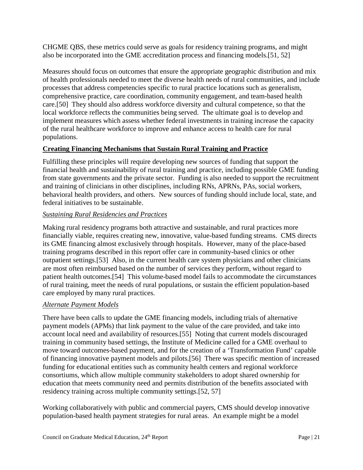CHGME QBS, these metrics could serve as goals for residency training programs, and might also be incorporated into the GME accreditation process and financing models.[51, 52]

Measures should focus on outcomes that ensure the appropriate geographic distribution and mix of health professionals needed to meet the diverse health needs of rural communities, and include processes that address competencies specific to rural practice locations such as generalism, comprehensive practice, care coordination, community engagement, and team-based health care.[50] They should also address workforce diversity and cultural competence, so that the local workforce reflects the communities being served. The ultimate goal is to develop and implement measures which assess whether federal investments in training increase the capacity of the rural healthcare workforce to improve and enhance access to health care for rural populations.

### **Creating Financing Mechanisms that Sustain Rural Training and Practice**

Fulfilling these principles will require developing new sources of funding that support the financial health and sustainability of rural training and practice, including possible GME funding from state governments and the private sector. Funding is also needed to support the recruitment and training of clinicians in other disciplines, including RNs, APRNs, PAs, social workers, behavioral health providers, and others. New sources of funding should include local, state, and federal initiatives to be sustainable.

### *Sustaining Rural Residencies and Practices*

Making rural residency programs both attractive and sustainable, and rural practices more financially viable, requires creating new, innovative, value-based funding streams. CMS directs its GME financing almost exclusively through hospitals. However, many of the place-based training programs described in this report offer care in community-based clinics or other outpatient settings.[53] Also, in the current health care system physicians and other clinicians are most often reimbursed based on the number of services they perform, without regard to patient health outcomes.[54] This volume-based model fails to accommodate the circumstances of rural training, meet the needs of rural populations, or sustain the efficient population-based care employed by many rural practices.

### *Alternate Payment Models*

There have been calls to update the GME financing models, including trials of alternative payment models (APMs) that link payment to the value of the care provided, and take into account local need and availability of resources.[55] Noting that current models discouraged training in community based settings, the Institute of Medicine called for a GME overhaul to move toward outcomes-based payment, and for the creation of a 'Transformation Fund' capable of financing innovative payment models and pilots.[56] There was specific mention of increased funding for educational entities such as community health centers and regional workforce consortiums, which allow multiple community stakeholders to adopt shared ownership for education that meets community need and permits distribution of the benefits associated with residency training across multiple community settings.[52, 57]

Working collaboratively with public and commercial payers, CMS should develop innovative population-based health payment strategies for rural areas. An example might be a model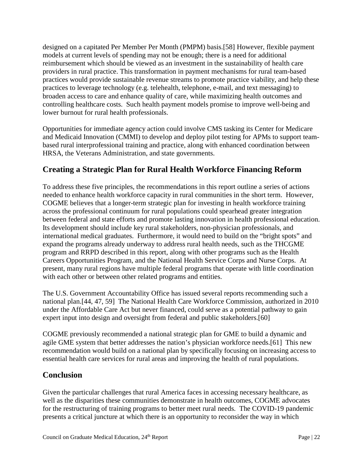designed on a capitated Per Member Per Month (PMPM) basis.[58] However, flexible payment models at current levels of spending may not be enough; there is a need for additional reimbursement which should be viewed as an investment in the sustainability of health care providers in rural practice. This transformation in payment mechanisms for rural team-based practices would provide sustainable revenue streams to promote practice viability, and help these practices to leverage technology (e.g. telehealth, telephone, e-mail, and text messaging) to broaden access to care and enhance quality of care, while maximizing health outcomes and controlling healthcare costs. Such health payment models promise to improve well-being and lower burnout for rural health professionals.

Opportunities for immediate agency action could involve CMS tasking its Center for Medicare and Medicaid Innovation (CMMI) to develop and deploy pilot testing for APMs to support teambased rural interprofessional training and practice, along with enhanced coordination between HRSA, the Veterans Administration, and state governments.

### **Creating a Strategic Plan for Rural Health Workforce Financing Reform**

To address these five principles, the recommendations in this report outline a series of actions needed to enhance health workforce capacity in rural communities in the short term. However, COGME believes that a longer-term strategic plan for investing in health workforce training across the professional continuum for rural populations could spearhead greater integration between federal and state efforts and promote lasting innovation in health professional education. Its development should include key rural stakeholders, non-physician professionals, and international medical graduates. Furthermore, it would need to build on the "bright spots" and expand the programs already underway to address rural health needs, such as the THCGME program and RRPD described in this report, along with other programs such as the Health Careers Opportunities Program, and the National Health Service Corps and Nurse Corps. At present, many rural regions have multiple federal programs that operate with little coordination with each other or between other related programs and entities.

The U.S. Government Accountability Office has issued several reports recommending such a national plan.[44, 47, 59] The National Health Care Workforce Commission, authorized in 2010 under the Affordable Care Act but never financed, could serve as a potential pathway to gain expert input into design and oversight from federal and public stakeholders.[60]

COGME previously recommended a national strategic plan for GME to build a dynamic and agile GME system that better addresses the nation's physician workforce needs.[61] This new recommendation would build on a national plan by specifically focusing on increasing access to essential health care services for rural areas and improving the health of rural populations.

### **Conclusion**

Given the particular challenges that rural America faces in accessing necessary healthcare, as well as the disparities these communities demonstrate in health outcomes, COGME advocates for the restructuring of training programs to better meet rural needs. The COVID-19 pandemic presents a critical juncture at which there is an opportunity to reconsider the way in which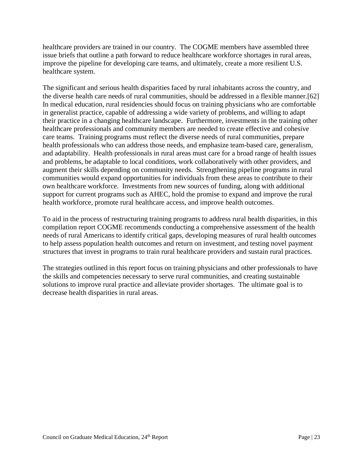healthcare providers are trained in our country. The COGME members have assembled three issue briefs that outline a path forward to reduce healthcare workforce shortages in rural areas, improve the pipeline for developing care teams, and ultimately, create a more resilient U.S. healthcare system.

The significant and serious health disparities faced by rural inhabitants across the country, and the diverse health care needs of rural communities, should be addressed in a flexible manner.[62] In medical education, rural residencies should focus on training physicians who are comfortable in generalist practice, capable of addressing a wide variety of problems, and willing to adapt their practice in a changing healthcare landscape. Furthermore, investments in the training other healthcare professionals and community members are needed to create effective and cohesive care teams. Training programs must reflect the diverse needs of rural communities, prepare health professionals who can address those needs, and emphasize team-based care, generalism, and adaptability. Health professionals in rural areas must care for a broad range of health issues and problems, be adaptable to local conditions, work collaboratively with other providers, and augment their skills depending on community needs. Strengthening pipeline programs in rural communities would expand opportunities for individuals from these areas to contribute to their own healthcare workforce. Investments from new sources of funding, along with additional support for current programs such as AHEC, hold the promise to expand and improve the rural health workforce, promote rural healthcare access, and improve health outcomes.

To aid in the process of restructuring training programs to address rural health disparities, in this compilation report COGME recommends conducting a comprehensive assessment of the health needs of rural Americans to identify critical gaps, developing measures of rural health outcomes to help assess population health outcomes and return on investment, and testing novel payment structures that invest in programs to train rural healthcare providers and sustain rural practices.

The strategies outlined in this report focus on training physicians and other professionals to have the skills and competencies necessary to serve rural communities, and creating sustainable solutions to improve rural practice and alleviate provider shortages. The ultimate goal is to decrease health disparities in rural areas.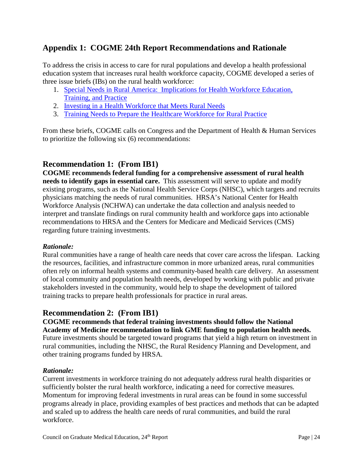### **Appendix 1: COGME 24th Report Recommendations and Rationale**

To address the crisis in access to care for rural populations and develop a health professional education system that increases rural health workforce capacity, COGME developed a series of three issue briefs (IBs) on the rural health workforce:

- 1. [Special Needs in Rural America: Implications for Health Workforce Education,](https://www.hrsa.gov/sites/default/files/hrsa/advisory-committees/graduate-medical-edu/publications/cogme-rural-health-policy-brief.pdf)  [Training, and Practice](https://www.hrsa.gov/sites/default/files/hrsa/advisory-committees/graduate-medical-edu/publications/cogme-rural-health-policy-brief.pdf)
- 2. [Investing in a Health Workforce that Meets Rural Needs](https://www.hrsa.gov/sites/default/files/hrsa/advisory-committees/graduate-medical-edu/publications/cogme-rural-health-issue-brief.pdf)
- 3. [Training Needs to Prepare the Healthcare Workforce for Rural Practice](https://www.hrsa.gov/sites/default/files/hrsa/advisory-committees/graduate-medical-edu/publications/cogme-rural-health.pdf)

From these briefs, COGME calls on Congress and the Department of Health & Human Services to prioritize the following six (6) recommendations:

### **Recommendation 1: (From IB1)**

**COGME recommends federal funding for a comprehensive assessment of rural health needs to identify gaps in essential care.** This assessment will serve to update and modify existing programs, such as the National Health Service Corps (NHSC), which targets and recruits physicians matching the needs of rural communities. HRSA's National Center for Health Workforce Analysis (NCHWA) can undertake the data collection and analysis needed to interpret and translate findings on rural community health and workforce gaps into actionable recommendations to HRSA and the Centers for Medicare and Medicaid Services (CMS) regarding future training investments.

#### *Rationale:*

Rural communities have a range of health care needs that cover care across the lifespan. Lacking the resources, facilities, and infrastructure common in more urbanized areas, rural communities often rely on informal health systems and community-based health care delivery. An assessment of local community and population health needs, developed by working with public and private stakeholders invested in the community, would help to shape the development of tailored training tracks to prepare health professionals for practice in rural areas.

### **Recommendation 2: (From IB1)**

**COGME recommends that federal training investments should follow the National Academy of Medicine recommendation to link GME funding to population health needs.** Future investments should be targeted toward programs that yield a high return on investment in rural communities, including the NHSC, the Rural Residency Planning and Development, and other training programs funded by HRSA.

### *Rationale:*

Current investments in workforce training do not adequately address rural health disparities or sufficiently bolster the rural health workforce, indicating a need for corrective measures. Momentum for improving federal investments in rural areas can be found in some successful programs already in place, providing examples of best practices and methods that can be adapted and scaled up to address the health care needs of rural communities, and build the rural workforce.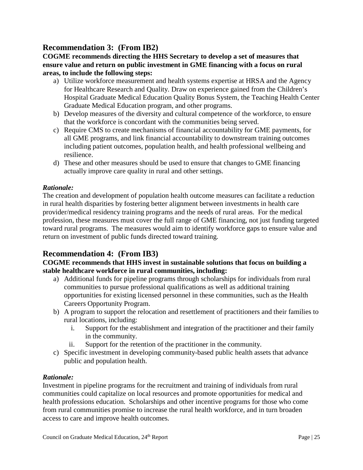### **Recommendation 3: (From IB2)**

**COGME recommends directing the HHS Secretary to develop a set of measures that ensure value and return on public investment in GME financing with a focus on rural areas, to include the following steps:**

- a) Utilize workforce measurement and health systems expertise at HRSA and the Agency for Healthcare Research and Quality. Draw on experience gained from the Children's Hospital Graduate Medical Education Quality Bonus System, the Teaching Health Center Graduate Medical Education program, and other programs.
- b) Develop measures of the diversity and cultural competence of the workforce, to ensure that the workforce is concordant with the communities being served.
- c) Require CMS to create mechanisms of financial accountability for GME payments, for all GME programs, and link financial accountability to downstream training outcomes including patient outcomes, population health, and health professional wellbeing and resilience.
- d) These and other measures should be used to ensure that changes to GME financing actually improve care quality in rural and other settings.

### *Rationale:*

The creation and development of population health outcome measures can facilitate a reduction in rural health disparities by fostering better alignment between investments in health care provider/medical residency training programs and the needs of rural areas. For the medical profession, these measures must cover the full range of GME financing, not just funding targeted toward rural programs. The measures would aim to identify workforce gaps to ensure value and return on investment of public funds directed toward training.

### **Recommendation 4: (From IB3)**

### **COGME recommends that HHS invest in sustainable solutions that focus on building a stable healthcare workforce in rural communities, including:**

- a) Additional funds for pipeline programs through scholarships for individuals from rural communities to pursue professional qualifications as well as additional training opportunities for existing licensed personnel in these communities, such as the Health Careers Opportunity Program.
- b) A program to support the relocation and resettlement of practitioners and their families to rural locations, including:
	- i. Support for the establishment and integration of the practitioner and their family in the community.
	- ii. Support for the retention of the practitioner in the community.
- c) Specific investment in developing community-based public health assets that advance public and population health.

### *Rationale:*

Investment in pipeline programs for the recruitment and training of individuals from rural communities could capitalize on local resources and promote opportunities for medical and health professions education. Scholarships and other incentive programs for those who come from rural communities promise to increase the rural health workforce, and in turn broaden access to care and improve health outcomes.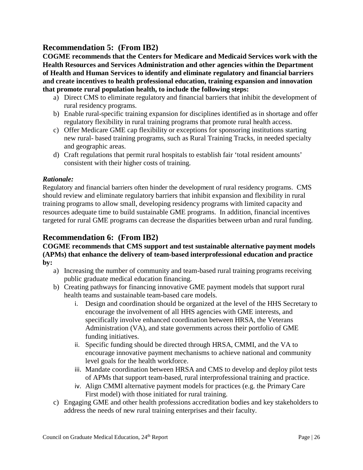### **Recommendation 5: (From IB2)**

**COGME recommends that the Centers for Medicare and Medicaid Services work with the Health Resources and Services Administration and other agencies within the Department of Health and Human Services to identify and eliminate regulatory and financial barriers and create incentives to health professional education, training expansion and innovation that promote rural population health, to include the following steps:**

- a) Direct CMS to eliminate regulatory and financial barriers that inhibit the development of rural residency programs.
- b) Enable rural-specific training expansion for disciplines identified as in shortage and offer regulatory flexibility in rural training programs that promote rural health access.
- c) Offer Medicare GME cap flexibility or exceptions for sponsoring institutions starting new rural- based training programs, such as Rural Training Tracks, in needed specialty and geographic areas.
- d) Craft regulations that permit rural hospitals to establish fair 'total resident amounts' consistent with their higher costs of training.

### *Rationale:*

Regulatory and financial barriers often hinder the development of rural residency programs. CMS should review and eliminate regulatory barriers that inhibit expansion and flexibility in rural training programs to allow small, developing residency programs with limited capacity and resources adequate time to build sustainable GME programs. In addition, financial incentives targeted for rural GME programs can decrease the disparities between urban and rural funding.

### **Recommendation 6: (From IB2)**

### **COGME recommends that CMS support and test sustainable alternative payment models (APMs) that enhance the delivery of team-based interprofessional education and practice by:**

- a) Increasing the number of community and team-based rural training programs receiving public graduate medical education financing.
- b) Creating pathways for financing innovative GME payment models that support rural health teams and sustainable team-based care models.
	- i. Design and coordination should be organized at the level of the HHS Secretary to encourage the involvement of all HHS agencies with GME interests, and specifically involve enhanced coordination between HRSA, the Veterans Administration (VA), and state governments across their portfolio of GME funding initiatives.
	- ii. Specific funding should be directed through HRSA, CMMI, and the VA to encourage innovative payment mechanisms to achieve national and community level goals for the health workforce.
	- iii. Mandate coordination between HRSA and CMS to develop and deploy pilot tests of APMs that support team-based, rural interprofessional training and practice.
	- iv. Align CMMI alternative payment models for practices (e.g. the Primary Care First model) with those initiated for rural training.
- c) Engaging GME and other health professions accreditation bodies and key stakeholders to address the needs of new rural training enterprises and their faculty.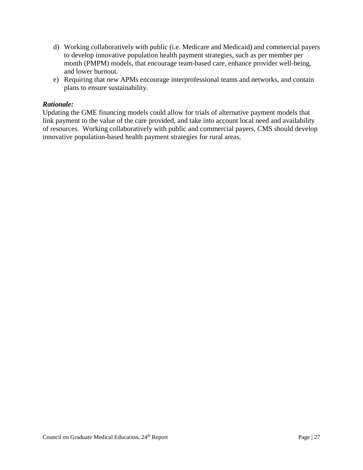- d) Working collaboratively with public (i.e. Medicare and Medicaid) and commercial payers to develop innovative population health payment strategies, such as per member per month (PMPM) models, that encourage team-based care, enhance provider well-being, and lower burnout.
- e) Requiring that new APMs encourage interprofessional teams and networks, and contain plans to ensure sustainability.

### *Rationale:*

Updating the GME financing models could allow for trials of alternative payment models that link payment to the value of the care provided, and take into account local need and availability of resources. Working collaboratively with public and commercial payers, CMS should develop innovative population-based health payment strategies for rural areas.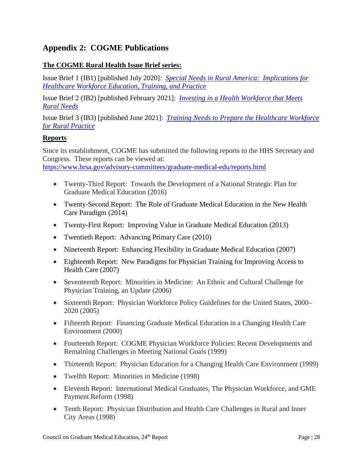### **Appendix 2: COGME Publications**

### **The COGME Rural Health Issue Brief series:**

Issue Brief 1 (IB1) [published July 2020]: *[Special Needs in Rural America: Implications for](https://www.hrsa.gov/sites/default/files/hrsa/advisory-committees/graduate-medical-edu/publications/cogme-rural-health-policy-brief.pdf)  [Healthcare Workforce Education, Training, and Practice](https://www.hrsa.gov/sites/default/files/hrsa/advisory-committees/graduate-medical-edu/publications/cogme-rural-health-policy-brief.pdf)*

Issue Brief 2 (IB2) [published February 2021]: *[Investing in a Health Workforce that Meets](https://www.hrsa.gov/sites/default/files/hrsa/advisory-committees/graduate-medical-edu/publications/cogme-rural-health-issue-brief.pdf)  [Rural Needs](https://www.hrsa.gov/sites/default/files/hrsa/advisory-committees/graduate-medical-edu/publications/cogme-rural-health-issue-brief.pdf)*

Issue Brief 3 (IB3) [published June 2021]: *[Training Needs to Prepare the Healthcare Workforce](https://www.hrsa.gov/sites/default/files/hrsa/advisory-committees/graduate-medical-edu/publications/cogme-rural-health.pdf)  [for Rural Practice](https://www.hrsa.gov/sites/default/files/hrsa/advisory-committees/graduate-medical-edu/publications/cogme-rural-health.pdf)*

### **Reports**

Since its establishment, COGME has submitted the following reports to the HHS Secretary and Congress. These reports can be viewed at: <https://www.hrsa.gov/advisory-committees/graduate-medical-edu/reports.html>

- Twenty-Third Report: Towards the Development of a National Strategic Plan for Graduate Medical Education (2016)
- Twenty-Second Report: The Role of Graduate Medical Education in the New Health Care Paradigm (2014)
- Twenty-First Report: Improving Value in Graduate Medical Education (2013)
- Twentieth Report: Advancing Primary Care (2010)
- Nineteenth Report: Enhancing Flexibility in Graduate Medical Education (2007)
- Eighteenth Report: New Paradigms for Physician Training for Improving Access to Health Care (2007)
- Seventeenth Report: Minorities in Medicine: An Ethnic and Cultural Challenge for Physician Training, an Update (2006)
- Sixteenth Report: Physician Workforce Policy Guidelines for the United States, 2000– 2020 (2005)
- Fifteenth Report: Financing Graduate Medical Education in a Changing Health Care Environment (2000)
- Fourteenth Report: COGME Physician Workforce Policies: Recent Developments and Remaining Challenges in Meeting National Goals (1999)
- Thirteenth Report: Physician Education for a Changing Health Care Environment (1999)
- Twelfth Report: Minorities in Medicine (1998)
- Eleventh Report: International Medical Graduates, The Physician Workforce, and GME Payment Reform (1998)
- Tenth Report: Physician Distribution and Health Care Challenges in Rural and Inner City Areas (1998)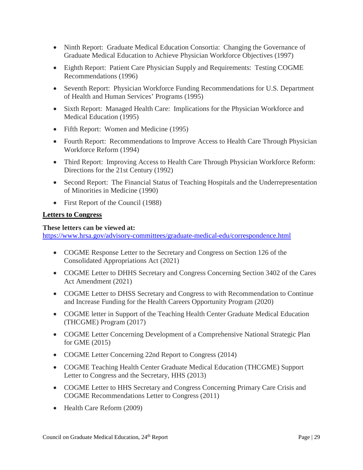- Ninth Report: Graduate Medical Education Consortia: Changing the Governance of Graduate Medical Education to Achieve Physician Workforce Objectives (1997)
- Eighth Report: Patient Care Physician Supply and Requirements: Testing COGME Recommendations (1996)
- Seventh Report: Physician Workforce Funding Recommendations for U.S. Department of Health and Human Services' Programs (1995)
- Sixth Report: Managed Health Care: Implications for the Physician Workforce and Medical Education (1995)
- Fifth Report: Women and Medicine (1995)
- Fourth Report: Recommendations to Improve Access to Health Care Through Physician Workforce Reform (1994)
- Third Report: Improving Access to Health Care Through Physician Workforce Reform: Directions for the 21st Century (1992)
- Second Report: The Financial Status of Teaching Hospitals and the Underrepresentation of Minorities in Medicine (1990)
- First Report of the Council (1988)

#### **Letters to Congress**

#### **These letters can be viewed at:**

<https://www.hrsa.gov/advisory-committees/graduate-medical-edu/correspondence.html>

- COGME Response Letter to the Secretary and Congress on Section 126 of the Consolidated Appropriations Act (2021)
- COGME Letter to DHHS Secretary and Congress Concerning Section 3402 of the Cares Act Amendment (2021)
- COGME Letter to DHSS Secretary and Congress to with Recommendation to Continue and Increase Funding for the Health Careers Opportunity Program (2020)
- COGME letter in Support of the Teaching Health Center Graduate Medical Education (THCGME) Program (2017)
- COGME Letter Concerning Development of a Comprehensive National Strategic Plan for GME (2015)
- COGME Letter Concerning 22nd Report to Congress (2014)
- COGME Teaching Health Center Graduate Medical Education (THCGME) Support Letter to Congress and the Secretary, HHS (2013)
- COGME Letter to HHS Secretary and Congress Concerning Primary Care Crisis and COGME Recommendations Letter to Congress (2011)
- Health Care Reform (2009)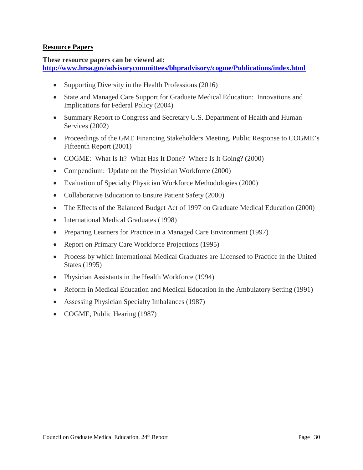### **Resource Papers**

### **These resource papers can be viewed at: <http://www.hrsa.gov/advisorycommittees/bhpradvisory/cogme/Publications/index.html>**

- Supporting Diversity in the Health Professions (2016)
- State and Managed Care Support for Graduate Medical Education: Innovations and Implications for Federal Policy (2004)
- Summary Report to Congress and Secretary U.S. Department of Health and Human Services (2002)
- Proceedings of the GME Financing Stakeholders Meeting, Public Response to COGME's Fifteenth Report (2001)
- COGME: What Is It? What Has It Done? Where Is It Going? (2000)
- Compendium: Update on the Physician Workforce (2000)
- Evaluation of Specialty Physician Workforce Methodologies (2000)
- Collaborative Education to Ensure Patient Safety (2000)
- The Effects of the Balanced Budget Act of 1997 on Graduate Medical Education (2000)
- International Medical Graduates (1998)
- Preparing Learners for Practice in a Managed Care Environment (1997)
- Report on Primary Care Workforce Projections (1995)
- Process by which International Medical Graduates are Licensed to Practice in the United States (1995)
- Physician Assistants in the Health Workforce (1994)
- Reform in Medical Education and Medical Education in the Ambulatory Setting (1991)
- Assessing Physician Specialty Imbalances (1987)
- COGME, Public Hearing (1987)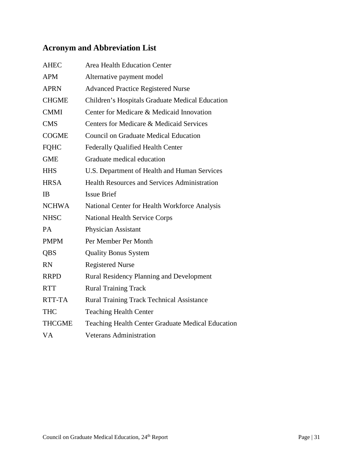### **Acronym and Abbreviation List**

| <b>AHEC</b>   | <b>Area Health Education Center</b>                 |
|---------------|-----------------------------------------------------|
| <b>APM</b>    | Alternative payment model                           |
| <b>APRN</b>   | <b>Advanced Practice Registered Nurse</b>           |
| <b>CHGME</b>  | Children's Hospitals Graduate Medical Education     |
| <b>CMMI</b>   | Center for Medicare & Medicaid Innovation           |
| <b>CMS</b>    | Centers for Medicare & Medicaid Services            |
| <b>COGME</b>  | <b>Council on Graduate Medical Education</b>        |
| <b>FQHC</b>   | <b>Federally Qualified Health Center</b>            |
| <b>GME</b>    | Graduate medical education                          |
| <b>HHS</b>    | U.S. Department of Health and Human Services        |
| <b>HRSA</b>   | <b>Health Resources and Services Administration</b> |
| <b>IB</b>     | <b>Issue Brief</b>                                  |
| <b>NCHWA</b>  | National Center for Health Workforce Analysis       |
| <b>NHSC</b>   | <b>National Health Service Corps</b>                |
| PA            | Physician Assistant                                 |
| <b>PMPM</b>   | Per Member Per Month                                |
| QBS           | <b>Quality Bonus System</b>                         |
| <b>RN</b>     | <b>Registered Nurse</b>                             |
| <b>RRPD</b>   | <b>Rural Residency Planning and Development</b>     |
| <b>RTT</b>    | <b>Rural Training Track</b>                         |
| RTT-TA        | <b>Rural Training Track Technical Assistance</b>    |
| <b>THC</b>    | <b>Teaching Health Center</b>                       |
| <b>THCGME</b> | Teaching Health Center Graduate Medical Education   |
| <b>VA</b>     | <b>Veterans Administration</b>                      |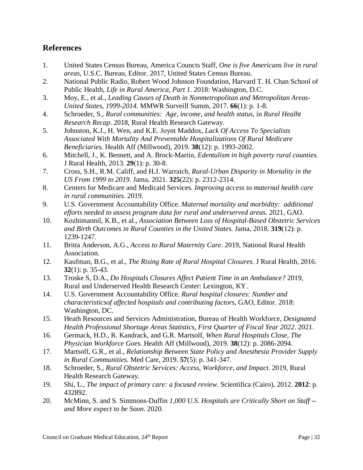### **References**

- 1. United States Census Bureau, America Councts Staff, *One is five Americans live in rural areas*, U.S.C. Bureau, Editor. 2017, United States Census Bureau.
- 2. National Public Radio, Robert Wood Johnson Foundation, Harvard T. H. Chan School of Public Health, *Life in Rural America, Part 1*. 2018: Washington, D.C.
- 3. Moy, E., et al., *Leading Causes of Death in Nonmetropolitan and Metropolitan Areas-United States, 1999-2014.* MMWR Surveill Summ, 2017. **66**(1): p. 1-8.
- 4. Schroeder, S., *Rural communities: Age, income, and health status*, in *Rural Healht Research Recap*. 2018, Rural Health Research Gateway.
- 5. Johnston, K.J., H. Wen, and K.E. Joynt Maddox, *Lack Of Access To Specialists Associated With Mortality And Preventable Hospitalizations Of Rural Medicare Beneficiaries.* Health Aff (Millwood), 2019. **38**(12): p. 1993-2002.
- 6. Mitchell, J., K. Bennett, and A. Brock-Martin, *Edentulism in high poverty rural counties.* J Rural Health, 2013. **29**(1): p. 30-8.
- 7. Cross, S.H., R.M. Califf, and H.J. Warraich, *Rural-Urban Disparity in Mortality in the US From 1999 to 2019.* Jama, 2021. **325**(22): p. 2312-2314.
- 8. Centers for Medicare and Medicaid Services. *Improving access to maternal health care in rural communities*. 2019.
- 9. U.S. Government Accountability Office. *Maternal mortality and morbidity: additional efforts needed to assess program data for rural and underserved areas*. 2021, GAO.
- 10. Kozhimannil, K.B., et al., *Association Between Loss of Hospital-Based Obstetric Services and Birth Outcomes in Rural Counties in the United States.* Jama, 2018. **319**(12): p. 1239-1247.
- 11. Britta Anderson, A.G., *Access to Rural Maternity Care*. 2019, National Rural Health Association.
- 12. Kaufman, B.G., et al., *The Rising Rate of Rural Hospital Closures.* J Rural Health, 2016. **32**(1): p. 35-43.
- 13. Troske S, D.A., *Do Hospitals Closures Affect Patient Time in an Ambulance?* 2019, Rural and Underserved Health Research Center: Lexington, KY.
- 14. U.S. Government Accountability Office. *Rural hospital closures: Number and characteristicsof affected hospitals and contributing factors*, GAO, Editor. 2018: Washington, DC.
- 15. Heath Resources and Services Administration, Bureau of Health Workforce, *Designated Health Professional Shortage Areas Statistics, First Quarter of Fiscal Year 2022*. 2021.
- 16. Germack, H.D., R. Kandrack, and G.R. Martsolf, *When Rural Hospitals Close, The Physician Workforce Goes.* Health Aff (Millwood), 2019. **38**(12): p. 2086-2094.
- 17. Martsolf, G.R., et al., *Relationship Between State Policy and Anesthesia Provider Supply in Rural Communities.* Med Care, 2019. **57**(5): p. 341-347.
- 18. Schroeder, S., *Rural Obstetric Services: Access, Workforce, and Impact*. 2019, Rural Health Research Gateway.
- 19. Shi, L., *The impact of primary care: a focused review.* Scientifica (Cairo), 2012. **2012**: p. 432892.
- 20. McMinn, S. and S. Simmons-Duffin *1,000 U.S. Hospitals are Critically Short on Staff and More expect to be Soon*. 2020.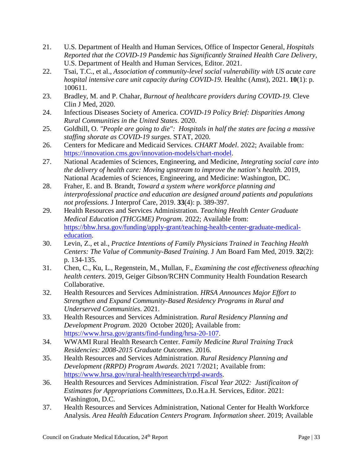- 21. U.S. Department of Health and Human Services, Office of Inspector General, *Hospitals Reported that the COVID-19 Pandemic has Significantly Strained Health Care Delivery*, U.S. Department of Health and Human Services, Editor. 2021.
- 22. Tsai, T.C., et al., *Association of community-level social vulnerability with US acute care hospital intensive care unit capacity during COVID-19.* Healthc (Amst), 2021. **10**(1): p. 100611.
- 23. Bradley, M. and P. Chahar, *Burnout of healthcare providers during COVID-19.* Cleve Clin J Med, 2020.
- 24. Infectious Diseases Society of America. *COVID-19 Policy Brief: Disparities Among Rural Communities in the United States*. 2020.
- 25. Goldhill, O. *"People are going to die": Hospitals in half the states are facing a massive staffing shorate as COVID-19 surges*. STAT, 2020.
- 26. Centers for Medicare and Medicaid Services. *CHART Model*. 2022; Available from: [https://innovation.cms.gov/innovation-models/chart-model.](https://innovation.cms.gov/innovation-models/chart-model)
- 27. National Academies of Sciences, Engineering, and Medicine, *Integrating social care into the delivery of health care: Moving upstream to improve the nation's health.* 2019, National Academies of Sciences, Engineering, and Medicine: Washington, DC.
- 28. Fraher, E. and B. Brandt, *Toward a system where workforce planning and interprofessional practice and education are designed around patients and populations not professions.* J Interprof Care, 2019. **33**(4): p. 389-397.
- 29. Health Resources and Services Administration. *Teaching Health Center Graduate Medical Education (THCGME) Program*. 2022; Available from: [https://bhw.hrsa.gov/funding/apply-grant/teaching-health-center-graduate-medical](https://bhw.hrsa.gov/funding/apply-grant/teaching-health-center-graduate-medical-education)[education.](https://bhw.hrsa.gov/funding/apply-grant/teaching-health-center-graduate-medical-education)
- 30. Levin, Z., et al., *Practice Intentions of Family Physicians Trained in Teaching Health Centers: The Value of Community-Based Training.* J Am Board Fam Med, 2019. **32**(2): p. 134-135.
- 31. Chen, C., Ku, L., Regenstein, M., Mullan, F., *Examining the cost effectiveness ofteaching health centers*. 2019, Geiger Gibson/RCHN Community Health Foundation Research Collaborative.
- 32. Health Resources and Services Administration. *HRSA Announces Major Effort to Strengthen and Expand Community-Based Residency Programs in Rural and Underserved Communities*. 2021.
- 33. Health Resources and Services Administration. *Rural Residency Planning and Development Program*. 2020 October 2020]; Available from: [https://www.hrsa.gov/grants/find-funding/hrsa-20-107.](https://www.hrsa.gov/grants/find-funding/hrsa-20-107)
- 34. WWAMI Rural Health Research Center. *Family Medicine Rural Training Track Residencies: 2008-2015 Graduate Outcomes*. 2016.
- 35. Health Resources and Services Administration. *Rural Residency Planning and Development (RRPD) Program Awards*. 2021 7/2021; Available from: [https://www.hrsa.gov/rural-health/research/rrpd-awards.](https://www.hrsa.gov/rural-health/research/rrpd-awards)
- 36. Health Resources and Services Administration. *Fiscal Year 2022: Justificaiton of Estimates for Appropriations Committees*, D.o.H.a.H. Services, Editor. 2021: Washington, D.C.
- 37. Health Resources and Services Administration, National Center for Health Workforce Analysis. *Area Health Education Centers Program. Information sheet*. 2019; Available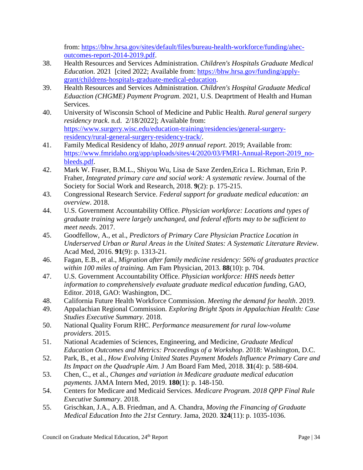[from: https://bhw.hrsa.gov/sites/default/files/bureau-health-workforce/funding/ahec](https://bhw.hrsa.gov/sites/default/files/bureau-health-workforce/funding/ahec-outcomes-report-2014-2019.pdf)outcomes-report-2014-2019.pdf.

- 38. Health Resources and Services Administration. *Children's Hospitals Graduate Medical Education*. 2021 [cited 2022; Available from: [https://bhw.hrsa.gov/funding/apply](https://bhw.hrsa.gov/funding/apply-grant/childrens-hospitals-graduate-medical-education)[grant/childrens-hospitals-graduate-medical-education.](https://bhw.hrsa.gov/funding/apply-grant/childrens-hospitals-graduate-medical-education)
- 39. Health Resources and Services Administration. *Children's Hospital Graduate Medical Eduaction (CHGME) Payment Program*. 2021, U.S. Deaprtment of Health and Human Services.
- 40. University of Wisconsin School of Medicine and Public Health. *Rural general surgery residency track*. n.d. 2/18/2022]; Available from: [https://www.surgery.wisc.edu/education-training/residencies/general-surgery](https://www.surgery.wisc.edu/education-training/residencies/general-surgery-residency/rural-general-surgery-residency-track/)[residency/rural-general-surgery-residency-track/.](https://www.surgery.wisc.edu/education-training/residencies/general-surgery-residency/rural-general-surgery-residency-track/)
- 41. Family Medical Residency of Idaho, *2019 annual report*. 2019; Available from: [https://www.fmridaho.org/app/uploads/sites/4/2020/03/FMRI-Annual-Report-2019\\_no](https://www.fmridaho.org/app/uploads/sites/4/2020/03/FMRI-Annual-Report-2019_no-bleeds.pdf)[bleeds.pdf.](https://www.fmridaho.org/app/uploads/sites/4/2020/03/FMRI-Annual-Report-2019_no-bleeds.pdf)
- 42. Mark W. Fraser, B.M.L., Shiyou Wu, Lisa de Saxe Zerden,Erica L. Richman, Erin P. Fraher, *Integrated primary care and social work: A systematic review.* Journal of the Society for Social Work and Research, 2018. **9**(2): p. 175-215.
- 43. Congressional Research Service. *Federal support for graduate medical education: an overview*. 2018.
- 44. U.S. Government Accountability Office. *Physician workforce: Locations and types of graduate training were largely unchanged, and federal efforts may to be sufficient to meet needs*. 2017.
- 45. Goodfellow, A., et al., *Predictors of Primary Care Physician Practice Location in Underserved Urban or Rural Areas in the United States: A Systematic Literature Review.* Acad Med, 2016. **91**(9): p. 1313-21.
- 46. Fagan, E.B., et al., *Migration after family medicine residency: 56% of graduates practice within 100 miles of training.* Am Fam Physician, 2013. **88**(10): p. 704.
- 47. U.S. Government Accountability Office. *Physician workforce: HHS needs better information to comprehensively evaluate graduate medical education funding*, GAO, Editor. 2018, GAO: Washington, DC.
- 48. California Future Health Workforce Commission. *Meeting the demand for health*. 2019.
- 49. Appalachian Regional Commission. *Exploring Bright Spots in Appalachian Health: Case Studies Executive Summary.* 2018.
- 50. National Quality Forum RHC. *Performance measurement for rural low-volume providers*. 2015.
- 51. National Academies of Sciences, Engineering, and Medicine, *Graduate Medical Education Outcomes and Metrics: Proceedings of a Workshop*. 2018: Washington, D.C.
- 52. Park, B., et al., *How Evolving United States Payment Models Influence Primary Care and Its Impact on the Quadruple Aim.* J Am Board Fam Med, 2018. **31**(4): p. 588-604.
- 53. Chen, C., et al., *Changes and variation in Medicare graduate medical education payments.* JAMA Intern Med, 2019. **180**(1): p. 148-150.
- 54. Centers for Medicare and Medicaid Services. *Medicare Program. 2018 QPP Final Rule Executive Summary*. 2018.
- 55. Grischkan, J.A., A.B. Friedman, and A. Chandra, *Moving the Financing of Graduate Medical Education Into the 21st Century.* Jama, 2020. **324**(11): p. 1035-1036.